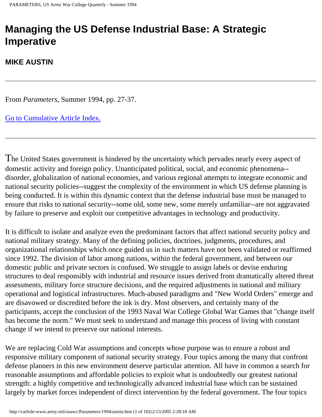# **Managing the US Defense Industrial Base: A Strategic Imperative**

#### **MIKE AUSTIN**

From *Parameters*, Summer 1994, pp. 27-37.

[Go to Cumulative Article Index.](http://carlisle-www.army.mil/usawc/Parameters/a-index.htm)

The United States government is hindered by the uncertainty which pervades nearly every aspect of domestic activity and foreign policy. Unanticipated political, social, and economic phenomena- disorder, globalization of national economies, and various regional attempts to integrate economic and national security policies--suggest the complexity of the environment in which US defense planning is being conducted. It is within this dynamic context that the defense industrial base must be managed to ensure that risks to national security--some old, some new, some merely unfamiliar--are not aggravated by failure to preserve and exploit our competitive advantages in technology and productivity.

It is difficult to isolate and analyze even the predominant factors that affect national security policy and national military strategy. Many of the defining policies, doctrines, judgments, procedures, and organizational relationships which once guided us in such matters have not been validated or reaffirmed since 1992. The division of labor among nations, within the federal government, and between our domestic public and private sectors is confused. We struggle to assign labels or devise enduring structures to deal responsibly with industrial and resource issues derived from dramatically altered threat assessments, military force structure decisions, and the required adjustments in national and military operational and logistical infrastructures. Much-abused paradigms and "New World Orders" emerge and are disavowed or discredited before the ink is dry. Most observers, and certainly many of the participants, accept the conclusion of the 1993 Naval War College Global War Games that "change itself has become the norm." We must seek to understand and manage this process of living with constant change if we intend to preserve our national interests.

We are replacing Cold War assumptions and concepts whose purpose was to ensure a robust and responsive military component of national security strategy. Four topics among the many that confront defense planners in this new environment deserve particular attention. All have in common a search for reasonable assumptions and affordable policies to exploit what is undoubtedly our greatest national strength: a highly competitive and technologically advanced industrial base which can be sustained largely by market forces independent of direct intervention by the federal government. The four topics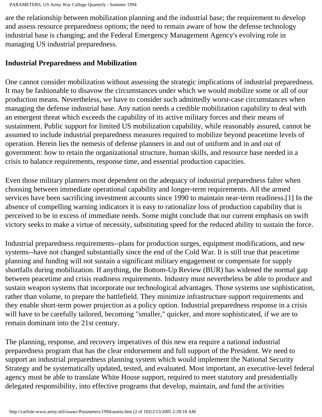are the relationship between mobilization planning and the industrial base; the requirement to develop and assess resource preparedness options; the need to remain aware of how the defense technology industrial base is changing; and the Federal Emergency Management Agency's evolving role in managing US industrial preparedness.

## **Industrial Preparedness and Mobilization**

One cannot consider mobilization without assessing the strategic implications of industrial preparedness. It may be fashionable to disavow the circumstances under which we would mobilize some or all of our production means. Nevertheless, we have to consider such admittedly worst-case circumstances when managing the defense industrial base. Any nation needs a credible mobilization capability to deal with an emergent threat which exceeds the capability of its active military forces and their means of sustainment. Public support for limited US mobilization capability, while reasonably assured, cannot be assumed to include industrial preparedness measures required to mobilize beyond peacetime levels of operation. Herein lies the nemesis of defense planners in and out of uniform and in and out of government: how to retain the organizational structure, human skills, and resource base needed in a crisis to balance requirements, response time, and essential production capacities.

Even those military planners most dependent on the adequacy of industrial preparedness falter when choosing between immediate operational capability and longer-term requirements. All the armed services have been sacrificing investment accounts since 1990 to maintain near-term readiness.[1] In the absence of compelling warning indicators it is easy to rationalize loss of production capability that is perceived to be in excess of immediate needs. Some might conclude that our current emphasis on swift victory seeks to make a virtue of necessity, substituting speed for the reduced ability to sustain the force.

Industrial preparedness requirements--plans for production surges, equipment modifications, and new systems--have not changed substantially since the end of the Cold War. It is still true that peacetime planning and funding will not sustain a significant military engagement or compensate for supply shortfalls during mobilization. If anything, the Bottom-Up Review (BUR) has widened the normal gap between peacetime and crisis readiness requirements. Industry must nevertheless be able to produce and sustain weapon systems that incorporate our technological advantages. Those systems use sophistication, rather than volume, to prepare the battlefield. They minimize infrastructure support requirements and they enable short-term power projection as a policy option. Industrial preparedness response in a crisis will have to be carefully tailored, becoming "smaller," quicker, and more sophisticated, if we are to remain dominant into the 21st century.

The planning, response, and recovery imperatives of this new era require a national industrial preparedness program that has the clear endorsement and full support of the President. We need to support an industrial preparedness planning system which would implement the National Security Strategy and be systematically updated, tested, and evaluated. Most important, an executive-level federal agency must be able to translate White House support, required to meet statutory and presidentially delegated responsibility, into effective programs that develop, maintain, and fund the activities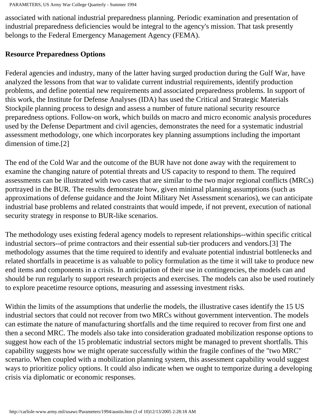associated with national industrial preparedness planning. Periodic examination and presentation of industrial preparedness deficiencies would be integral to the agency's mission. That task presently belongs to the Federal Emergency Management Agency (FEMA).

## **Resource Preparedness Options**

Federal agencies and industry, many of the latter having surged production during the Gulf War, have analyzed the lessons from that war to validate current industrial requirements, identify production problems, and define potential new requirements and associated preparedness problems. In support of this work, the Institute for Defense Analyses (IDA) has used the Critical and Strategic Materials Stockpile planning process to design and assess a number of future national security resource preparedness options. Follow-on work, which builds on macro and micro economic analysis procedures used by the Defense Department and civil agencies, demonstrates the need for a systematic industrial assessment methodology, one which incorporates key planning assumptions including the important dimension of time.[2]

The end of the Cold War and the outcome of the BUR have not done away with the requirement to examine the changing nature of potential threats and US capacity to respond to them. The required assessments can be illustrated with two cases that are similar to the two major regional conflicts (MRCs) portrayed in the BUR. The results demonstrate how, given minimal planning assumptions (such as approximations of defense guidance and the Joint Military Net Assessment scenarios), we can anticipate industrial base problems and related constraints that would impede, if not prevent, execution of national security strategy in response to BUR-like scenarios.

The methodology uses existing federal agency models to represent relationships--within specific critical industrial sectors--of prime contractors and their essential sub-tier producers and vendors.[3] The methodology assumes that the time required to identify and evaluate potential industrial bottlenecks and related shortfalls in peacetime is as valuable to policy formulation as the time it will take to produce new end items and components in a crisis. In anticipation of their use in contingencies, the models can and should be run regularly to support research projects and exercises. The models can also be used routinely to explore peacetime resource options, measuring and assessing investment risks.

Within the limits of the assumptions that underlie the models, the illustrative cases identify the 15 US industrial sectors that could not recover from two MRCs without government intervention. The models can estimate the nature of manufacturing shortfalls and the time required to recover from first one and then a second MRC. The models also take into consideration graduated mobilization response options to suggest how each of the 15 problematic industrial sectors might be managed to prevent shortfalls. This capability suggests how we might operate successfully within the fragile confines of the "two MRC" scenario. When coupled with a mobilization planning system, this assessment capability would suggest ways to prioritize policy options. It could also indicate when we ought to temporize during a developing crisis via diplomatic or economic responses.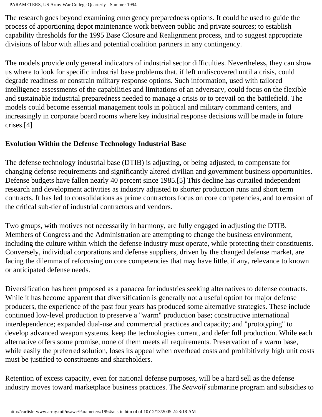```
PARAMETERS, US Army War College Quarterly - Summer 1994
```
The research goes beyond examining emergency preparedness options. It could be used to guide the process of apportioning depot maintenance work between public and private sources; to establish capability thresholds for the 1995 Base Closure and Realignment process, and to suggest appropriate divisions of labor with allies and potential coalition partners in any contingency.

The models provide only general indicators of industrial sector difficulties. Nevertheless, they can show us where to look for specific industrial base problems that, if left undiscovered until a crisis, could degrade readiness or constrain military response options. Such information, used with tailored intelligence assessments of the capabilities and limitations of an adversary, could focus on the flexible and sustainable industrial preparedness needed to manage a crisis or to prevail on the battlefield. The models could become essential management tools in political and military command centers, and increasingly in corporate board rooms where key industrial response decisions will be made in future crises.[4]

## **Evolution Within the Defense Technology Industrial Base**

The defense technology industrial base (DTIB) is adjusting, or being adjusted, to compensate for changing defense requirements and significantly altered civilian and government business opportunities. Defense budgets have fallen nearly 40 percent since 1985.[5] This decline has curtailed independent research and development activities as industry adjusted to shorter production runs and short term contracts. It has led to consolidations as prime contractors focus on core competencies, and to erosion of the critical sub-tier of industrial contractors and vendors.

Two groups, with motives not necessarily in harmony, are fully engaged in adjusting the DTIB. Members of Congress and the Administration are attempting to change the business environment, including the culture within which the defense industry must operate, while protecting their constituents. Conversely, individual corporations and defense suppliers, driven by the changed defense market, are facing the dilemma of refocusing on core competencies that may have little, if any, relevance to known or anticipated defense needs.

Diversification has been proposed as a panacea for industries seeking alternatives to defense contracts. While it has become apparent that diversification is generally not a useful option for major defense producers, the experience of the past four years has produced some alternative strategies. These include continued low-level production to preserve a "warm" production base; constructive international interdependence; expanded dual-use and commercial practices and capacity; and "prototyping" to develop advanced weapon systems, keep the technologies current, and defer full production. While each alternative offers some promise, none of them meets all requirements. Preservation of a warm base, while easily the preferred solution, loses its appeal when overhead costs and prohibitively high unit costs must be justified to constituents and shareholders.

Retention of excess capacity, even for national defense purposes, will be a hard sell as the defense industry moves toward marketplace business practices. The *Seawolf* submarine program and subsidies to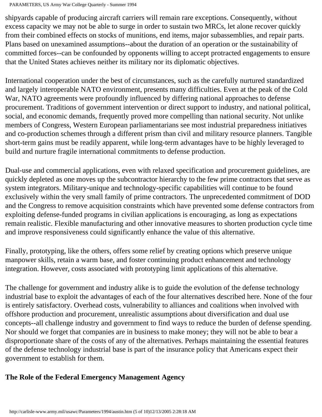shipyards capable of producing aircraft carriers will remain rare exceptions. Consequently, without excess capacity we may not be able to surge in order to sustain two MRCs, let alone recover quickly from their combined effects on stocks of munitions, end items, major subassemblies, and repair parts. Plans based on unexamined assumptions--about the duration of an operation or the sustainability of committed forces--can be confounded by opponents willing to accept protracted engagements to ensure that the United States achieves neither its military nor its diplomatic objectives.

International cooperation under the best of circumstances, such as the carefully nurtured standardized and largely interoperable NATO environment, presents many difficulties. Even at the peak of the Cold War, NATO agreements were profoundly influenced by differing national approaches to defense procurement. Traditions of government intervention or direct support to industry, and national political, social, and economic demands, frequently proved more compelling than national security. Not unlike members of Congress, Western European parliamentarians see most industrial preparedness initiatives and co-production schemes through a different prism than civil and military resource planners. Tangible short-term gains must be readily apparent, while long-term advantages have to be highly leveraged to build and nurture fragile international commitments to defense production.

Dual-use and commercial applications, even with relaxed specification and procurement guidelines, are quickly depleted as one moves up the subcontractor hierarchy to the few prime contractors that serve as system integrators. Military-unique and technology-specific capabilities will continue to be found exclusively within the very small family of prime contractors. The unprecedented commitment of DOD and the Congress to remove acquisition constraints which have prevented some defense contractors from exploiting defense-funded programs in civilian applications is encouraging, as long as expectations remain realistic. Flexible manufacturing and other innovative measures to shorten production cycle time and improve responsiveness could significantly enhance the value of this alternative.

Finally, prototyping, like the others, offers some relief by creating options which preserve unique manpower skills, retain a warm base, and foster continuing product enhancement and technology integration. However, costs associated with prototyping limit applications of this alternative.

The challenge for government and industry alike is to guide the evolution of the defense technology industrial base to exploit the advantages of each of the four alternatives described here. None of the four is entirely satisfactory. Overhead costs, vulnerability to alliances and coalitions when involved with offshore production and procurement, unrealistic assumptions about diversification and dual use concepts--all challenge industry and government to find ways to reduce the burden of defense spending. Nor should we forget that companies are in business to make money; they will not be able to bear a disproportionate share of the costs of any of the alternatives. Perhaps maintaining the essential features of the defense technology industrial base is part of the insurance policy that Americans expect their government to establish for them.

# **The Role of the Federal Emergency Management Agency**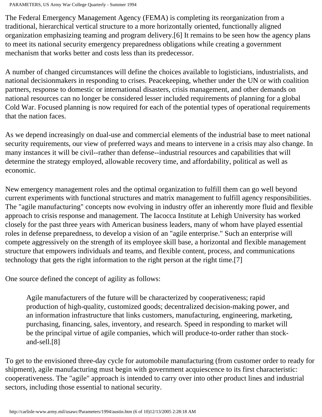PARAMETERS, US Army War College Quarterly - Summer 1994

The Federal Emergency Management Agency (FEMA) is completing its reorganization from a traditional, hierarchical vertical structure to a more horizontally oriented, functionally aligned organization emphasizing teaming and program delivery.[6] It remains to be seen how the agency plans to meet its national security emergency preparedness obligations while creating a government mechanism that works better and costs less than its predecessor.

A number of changed circumstances will define the choices available to logisticians, industrialists, and national decisionmakers in responding to crises. Peacekeeping, whether under the UN or with coalition partners, response to domestic or international disasters, crisis management, and other demands on national resources can no longer be considered lesser included requirements of planning for a global Cold War. Focused planning is now required for each of the potential types of operational requirements that the nation faces.

As we depend increasingly on dual-use and commercial elements of the industrial base to meet national security requirements, our view of preferred ways and means to intervene in a crisis may also change. In many instances it will be civil--rather than defense--industrial resources and capabilities that will determine the strategy employed, allowable recovery time, and affordability, political as well as economic.

New emergency management roles and the optimal organization to fulfill them can go well beyond current experiments with functional structures and matrix management to fulfill agency responsibilities. The "agile manufacturing" concepts now evolving in industry offer an inherently more fluid and flexible approach to crisis response and management. The Iacocca Institute at Lehigh University has worked closely for the past three years with American business leaders, many of whom have played essential roles in defense preparedness, to develop a vision of an "agile enterprise." Such an enterprise will compete aggressively on the strength of its employee skill base, a horizontal and flexible management structure that empowers individuals and teams, and flexible content, process, and communications technology that gets the right information to the right person at the right time.[7]

One source defined the concept of agility as follows:

Agile manufacturers of the future will be characterized by cooperativeness; rapid production of high-quality, customized goods; decentralized decision-making power, and an information infrastructure that links customers, manufacturing, engineering, marketing, purchasing, financing, sales, inventory, and research. Speed in responding to market will be the principal virtue of agile companies, which will produce-to-order rather than stockand-sell.[8]

To get to the envisioned three-day cycle for automobile manufacturing (from customer order to ready for shipment), agile manufacturing must begin with government acquiescence to its first characteristic: cooperativeness. The "agile" approach is intended to carry over into other product lines and industrial sectors, including those essential to national security.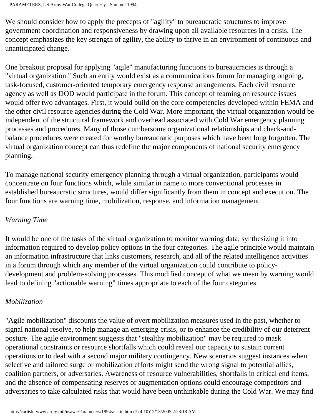We should consider how to apply the precepts of "agility" to bureaucratic structures to improve government coordination and responsiveness by drawing upon all available resources in a crisis. The concept emphasizes the key strength of agility, the ability to thrive in an environment of continuous and unanticipated change.

One breakout proposal for applying "agile" manufacturing functions to bureaucracies is through a "virtual organization." Such an entity would exist as a communications forum for managing ongoing, task-focused, customer-oriented temporary emergency response arrangements. Each civil resource agency as well as DOD would participate in the forum. This concept of teaming on resource issues would offer two advantages. First, it would build on the core competencies developed within FEMA and the other civil resource agencies during the Cold War. More important, the virtual organization would be independent of the structural framework and overhead associated with Cold War emergency planning processes and procedures. Many of those cumbersome organizational relationships and check-andbalance procedures were created for worthy bureaucratic purposes which have been long forgotten. The virtual organization concept can thus redefine the major components of national security emergency planning.

To manage national security emergency planning through a virtual organization, participants would concentrate on four functions which, while similar in name to more conventional processes in established bureaucratic structures, would differ significantly from them in concept and execution. The four functions are warning time, mobilization, response, and information management.

#### *Warning Time*

It would be one of the tasks of the virtual organization to monitor warning data, synthesizing it into information required to develop policy options in the four categories. The agile principle would maintain an information infrastructure that links customers, research, and all of the related intelligence activities in a forum through which any member of the virtual organization could contribute to policydevelopment and problem-solving processes. This modified concept of what we mean by warning would lead to defining "actionable warning" times appropriate to each of the four categories.

#### *Mobilization*

"Agile mobilization" discounts the value of overt mobilization measures used in the past, whether to signal national resolve, to help manage an emerging crisis, or to enhance the credibility of our deterrent posture. The agile environment suggests that "stealthy mobilization" may be required to mask operational constraints or resource shortfalls which could reveal our capacity to sustain current operations or to deal with a second major military contingency. New scenarios suggest instances when selective and tailored surge or mobilization efforts might send the wrong signal to potential allies, coalition partners, or adversaries. Awareness of resource vulnerabilities, shortfalls in critical end items, and the absence of compensating reserves or augmentation options could encourage competitors and adversaries to take calculated risks that would have been unthinkable during the Cold War. We may find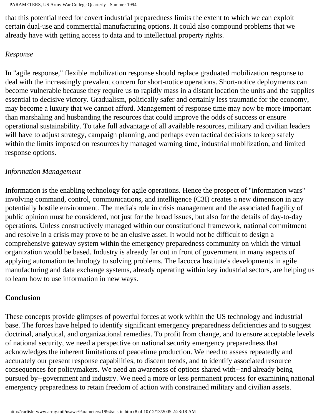that this potential need for covert industrial preparedness limits the extent to which we can exploit certain dual-use and commercial manufacturing options. It could also compound problems that we already have with getting access to data and to intellectual property rights.

#### *Response*

In "agile response," flexible mobilization response should replace graduated mobilization response to deal with the increasingly prevalent concern for short-notice operations. Short-notice deployments can become vulnerable because they require us to rapidly mass in a distant location the units and the supplies essential to decisive victory. Gradualism, politically safer and certainly less traumatic for the economy, may become a luxury that we cannot afford. Management of response time may now be more important than marshaling and husbanding the resources that could improve the odds of success or ensure operational sustainability. To take full advantage of all available resources, military and civilian leaders will have to adjust strategy, campaign planning, and perhaps even tactical decisions to keep safely within the limits imposed on resources by managed warning time, industrial mobilization, and limited response options.

#### *Information Management*

Information is the enabling technology for agile operations. Hence the prospect of "information wars" involving command, control, communications, and intelligence (C3I) creates a new dimension in any potentially hostile environment. The media's role in crisis management and the associated fragility of public opinion must be considered, not just for the broad issues, but also for the details of day-to-day operations. Unless constructively managed within our constitutional framework, national commitment and resolve in a crisis may prove to be an elusive asset. It would not be difficult to design a comprehensive gateway system within the emergency preparedness community on which the virtual organization would be based. Industry is already far out in front of government in many aspects of applying automation technology to solving problems. The Iacocca Institute's developments in agile manufacturing and data exchange systems, already operating within key industrial sectors, are helping us to learn how to use information in new ways.

## **Conclusion**

These concepts provide glimpses of powerful forces at work within the US technology and industrial base. The forces have helped to identify significant emergency preparedness deficiencies and to suggest doctrinal, analytical, and organizational remedies. To profit from change, and to ensure acceptable levels of national security, we need a perspective on national security emergency preparedness that acknowledges the inherent limitations of peacetime production. We need to assess repeatedly and accurately our present response capabilities, to discern trends, and to identify associated resource consequences for policymakers. We need an awareness of options shared with--and already being pursued by--government and industry. We need a more or less permanent process for examining national emergency preparedness to retain freedom of action with constrained military and civilian assets.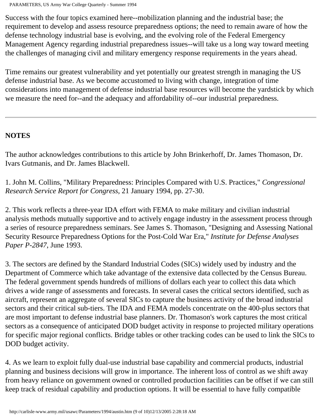Success with the four topics examined here--mobilization planning and the industrial base; the requirement to develop and assess resource preparedness options; the need to remain aware of how the defense technology industrial base is evolving, and the evolving role of the Federal Emergency Management Agency regarding industrial preparedness issues--will take us a long way toward meeting the challenges of managing civil and military emergency response requirements in the years ahead.

Time remains our greatest vulnerability and yet potentially our greatest strength in managing the US defense industrial base. As we become accustomed to living with change, integration of time considerations into management of defense industrial base resources will become the yardstick by which we measure the need for--and the adequacy and affordability of--our industrial preparedness.

# **NOTES**

The author acknowledges contributions to this article by John Brinkerhoff, Dr. James Thomason, Dr. Ivars Gutmanis, and Dr. James Blackwell.

1. John M. Collins, "Military Preparedness: Principles Compared with U.S. Practices," *Congressional Research Service Report for Congress*, 21 January 1994, pp. 27-30.

2. This work reflects a three-year IDA effort with FEMA to make military and civilian industrial analysis methods mutually supportive and to actively engage industry in the assessment process through a series of resource preparedness seminars. See James S. Thomason, "Designing and Assessing National Security Resource Preparedness Options for the Post-Cold War Era," *Institute for Defense Analyses Paper P-2847*, June 1993.

3. The sectors are defined by the Standard Industrial Codes (SICs) widely used by industry and the Department of Commerce which take advantage of the extensive data collected by the Census Bureau. The federal government spends hundreds of millions of dollars each year to collect this data which drives a wide range of assessments and forecasts. In several cases the critical sectors identified, such as aircraft, represent an aggregate of several SICs to capture the business activity of the broad industrial sectors and their critical sub-tiers. The IDA and FEMA models concentrate on the 400-plus sectors that are most important to defense industrial base planners. Dr. Thomason's work captures the most critical sectors as a consequence of anticipated DOD budget activity in response to projected military operations for specific major regional conflicts. Bridge tables or other tracking codes can be used to link the SICs to DOD budget activity.

4. As we learn to exploit fully dual-use industrial base capability and commercial products, industrial planning and business decisions will grow in importance. The inherent loss of control as we shift away from heavy reliance on government owned or controlled production facilities can be offset if we can still keep track of residual capability and production options. It will be essential to have fully compatible